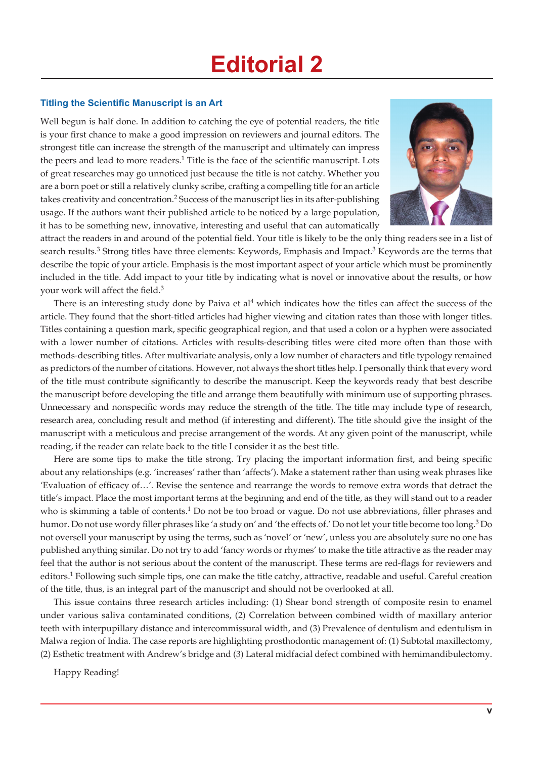## **Editorial 2**

## **Titling the Scientific Manuscript is an Art**

Well begun is half done. In addition to catching the eye of potential readers, the title is your first chance to make a good impression on reviewers and journal editors. The strongest title can increase the strength of the manuscript and ultimately can impress the peers and lead to more readers.<sup>1</sup> Title is the face of the scientific manuscript. Lots of great researches may go unnoticed just because the title is not catchy. Whether you are a born poet or still a relatively clunky scribe, crafting a compelling title for an article takes creativity and concentration.<sup>2</sup> Success of the manuscript lies in its after-publishing usage. If the authors want their published article to be noticed by a large population, it has to be something new, innovative, interesting and useful that can automatically



attract the readers in and around of the potential field. Your title is likely to be the only thing readers see in a list of search results.<sup>3</sup> Strong titles have three elements: Keywords, Emphasis and Impact.<sup>3</sup> Keywords are the terms that describe the topic of your article. Emphasis is the most important aspect of your article which must be prominently included in the title. Add impact to your title by indicating what is novel or innovative about the results, or how your work will affect the field.<sup>3</sup>

There is an interesting study done by Paiva et al<sup>4</sup> which indicates how the titles can affect the success of the article. They found that the short-titled articles had higher viewing and citation rates than those with longer titles. Titles containing a question mark, specific geographical region, and that used a colon or a hyphen were associated with a lower number of citations. Articles with results-describing titles were cited more often than those with methods-describing titles. After multivariate analysis, only a low number of characters and title typology remained as predictors of the number of citations. However, not always the short titles help. I personally think that every word of the title must contribute significantly to describe the manuscript. Keep the keywords ready that best describe the manuscript before developing the title and arrange them beautifully with minimum use of supporting phrases. Unnecessary and nonspecific words may reduce the strength of the title. The title may include type of research, research area, concluding result and method (if interesting and different). The title should give the insight of the manuscript with a meticulous and precise arrangement of the words. At any given point of the manuscript, while reading, if the reader can relate back to the title I consider it as the best title.

Here are some tips to make the title strong. Try placing the important information first, and being specific about any relationships (e.g. 'increases' rather than 'affects'). Make a statement rather than using weak phrases like 'Evaluation of efficacy of…'. Revise the sentence and rearrange the words to remove extra words that detract the title's impact. Place the most important terms at the beginning and end of the title, as they will stand out to a reader who is skimming a table of contents.<sup>1</sup> Do not be too broad or vague. Do not use abbreviations, filler phrases and humor. Do not use wordy filler phrases like 'a study on' and 'the effects of.' Do not let your title become too long.<sup>3</sup> Do not oversell your manuscript by using the terms, such as 'novel' or 'new', unless you are absolutely sure no one has published anything similar. Do not try to add 'fancy words or rhymes' to make the title attractive as the reader may feel that the author is not serious about the content of the manuscript. These terms are red-flags for reviewers and editors.<sup>1</sup> Following such simple tips, one can make the title catchy, attractive, readable and useful. Careful creation of the title, thus, is an integral part of the manuscript and should not be overlooked at all.

This issue contains three research articles including: (1) Shear bond strength of composite resin to enamel under various saliva contaminated conditions, (2) Correlation between combined width of maxillary anterior teeth with interpupillary distance and intercommissural width, and (3) Prevalence of dentulism and edentulism in Malwa region of India. The case reports are highlighting prosthodontic management of: (1) Subtotal maxillectomy, (2) Esthetic treatment with Andrew's bridge and (3) Lateral midfacial defect combined with hemimandibulectomy.

Happy Reading!